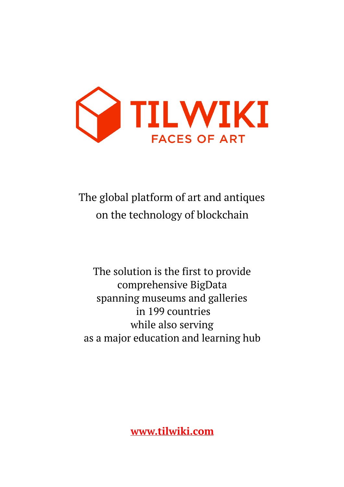

The global platform of art and antiques on the technology of blockchain

The solution is the first to provide comprehensive BigData spanning museums and galleries in 199 countries while also serving as a major education and learning hub

**[www.tilwiki.com](http://www.tilwiki.com)**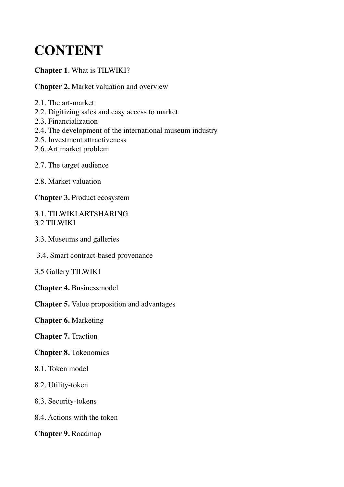# **CONTENT**

#### **Chapter 1**. What is TILWIKI?

#### **Chapter 2.** Market valuation and overview

- 2.1. The art-market
- 2.2. Digitizing sales and easy access to market
- 2.3. Financialization
- 2.4. The development of the international museum industry
- 2.5. Investment attractiveness
- 2.6. Art market problem
- 2.7. The target audience
- 2.8. Market valuation

**Chapter 3.** Product ecosystem

#### 3.1. TILWIKI ARTSHARING 3.2 TILWIKI

- 3.3. Museums and galleries
- 3.4. Smart contract-based provenance
- 3.5 Gallery TILWIKI
- **Chapter 4.** Businessmodel

**Chapter 5.** Value proposition and advantages

**Chapter 6.** Marketing

#### **Chapter 7.** Traction

#### **Chapter 8.** Tokenomics

- 8.1. Token model
- 8.2. Utility-token
- 8.3. Security-tokens
- 8.4. Actions with the token

#### **Chapter 9.** Roadmap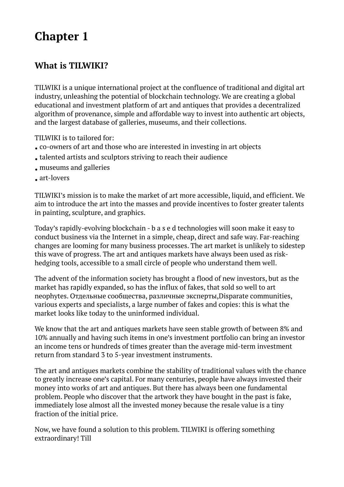### **What is TILWIKI?**

TILWIKI is a unique international project at the confluence of traditional and digital art industry, unleashing the potential of blockchain technology. We are creating a global educational and investment platform of art and antiques that provides a decentralized algorithm of provenance, simple and affordable way to invest into authentic art objects, and the largest database of galleries, museums, and their collections.

TILWIKI is to tailored for:

- co-owners of art and those who are interested in investing in art objects
- talented artists and sculptors striving to reach their audience
- museums and galleries
- art-lovers

TILWIKI's mission is to make the market of art more accessible, liquid, and efficient. We aim to introduce the art into the masses and provide incentives to foster greater talents in painting, sculpture, and graphics.

Today's rapidly-evolving blockchain - b a s e d technologies will soon make it easy to conduct business via the Internet in a simple, cheap, direct and safe way. Far-reaching changes are looming for many business processes. The art market is unlikely to sidestep this wave of progress. The art and antiques markets have always been used as riskhedging tools, accessible to a small circle of people who understand them well.

The advent of the information society has brought a flood of new investors, but as the market has rapidly expanded, so has the influx of fakes, that sold so well to art neophytes. Отдельные сообщества, различные эксперты,Disparate communities, various experts and specialists, a large number of fakes and copies: this is what the market looks like today to the uninformed individual.

We know that the art and antiques markets have seen stable growth of between 8% and 10% annually and having such items in one's investment portfolio can bring an investor an income tens or hundreds of times greater than the average mid-term investment return from standard 3 to 5-year investment instruments.

The art and antiques markets combine the stability of traditional values with the chance to greatly increase one's capital. For many centuries, people have always invested their money into works of art and antiques. But there has always been one fundamental problem. People who discover that the artwork they have bought in the past is fake, immediately lose almost all the invested money because the resale value is a tiny fraction of the initial price.

Now, we have found a solution to this problem. TILWIKI is offering something extraordinary! Till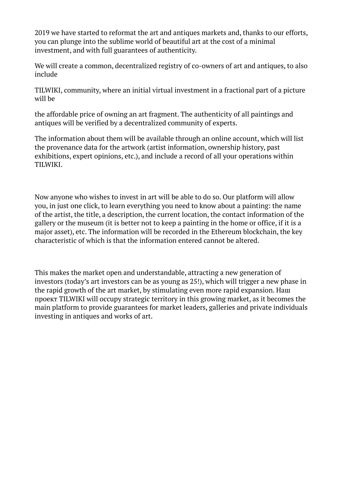2019 we have started to reformat the art and antiques markets and, thanks to our efforts, you can plunge into the sublime world of beautiful art at the cost of a minimal investment, and with full guarantees of authenticity.

We will create a common, decentralized registry of co-owners of art and antiques, to also include

TILWIKI, community, where an initial virtual investment in a fractional part of a picture will be

the affordable price of owning an art fragment. The authenticity of all paintings and antiques will be verified by a decentralized community of experts.

The information about them will be available through an online account, which will list the provenance data for the artwork (artist information, ownership history, past exhibitions, expert opinions, etc.), and include a record of all your operations within TILWIKI.

Now anyone who wishes to invest in art will be able to do so. Our platform will allow you, in just one click, to learn everything you need to know about a painting: the name of the artist, the title, a description, the current location, the contact information of the gallery or the museum (it is better not to keep a painting in the home or office, if it is a major asset), etc. The information will be recorded in the Ethereum blockchain, the key characteristic of which is that the information entered cannot be altered.

This makes the market open and understandable, attracting a new generation of investors (today's art investors can be as young as 25!), which will trigger a new phase in the rapid growth of the art market, by stimulating even more rapid expansion. Наш проект TILWIKI will occupy strategic territory in this growing market, as it becomes the main platform to provide guarantees for market leaders, galleries and private individuals investing in antiques and works of art.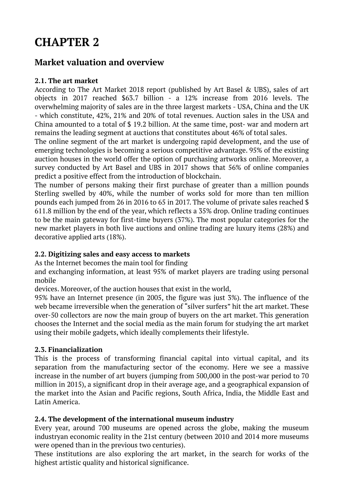## **CHAPTER 2**

### **Market valuation and overview**

#### **2.1. The art market**

According to The Art Market 2018 report (published by Art Basel & UBS), sales of art objects in 2017 reached \$63.7 billion - a 12% increase from 2016 levels. The overwhelming majority of sales are in the three largest markets - USA, China and the UK - which constitute, 42%, 21% and 20% of total revenues. Auction sales in the USA and China amounted to a total of \$ 19.2 billion. At the same time, post- war and modern art remains the leading segment at auctions that constitutes about 46% of total sales.

The online segment of the art market is undergoing rapid development, and the use of emerging technologies is becoming a serious competitive advantage. 95% of the existing auction houses in the world offer the option of purchasing artworks online. Moreover, a survey conducted by Art Basel and UBS in 2017 shows that 56% of online companies predict a positive effect from the introduction of blockchain.

The number of persons making their first purchase of greater than a million pounds Sterling swelled by 40%, while the number of works sold for more than ten million pounds each jumped from 26 in 2016 to 65 in 2017. The volume of private sales reached \$ 611.8 million by the end of the year, which reflects a 35% drop. Online trading continues to be the main gateway for first-time buyers (37%). The most popular categories for the new market players in both live auctions and online trading are luxury items (28%) and decorative applied arts (18%).

#### **2.2. Digitizing sales and easy access to markets**

As the Internet becomes the main tool for finding

and exchanging information, at least 95% of market players are trading using personal mobile

devices. Moreover, of the auction houses that exist in the world,

95% have an Internet presence (in 2005, the figure was just 3%). The influence of the web became irreversible when the generation of "silver surfers" hit the art market. These over-50 collectors are now the main group of buyers on the art market. This generation chooses the Internet and the social media as the main forum for studying the art market using their mobile gadgets, which ideally complements their lifestyle.

#### **2.3. Financialization**

This is the process of transforming financial capital into virtual capital, and its separation from the manufacturing sector of the economy. Here we see a massive increase in the number of art buyers (jumping from 500,000 in the post-war period to 70 million in 2015), a significant drop in their average age, and a geographical expansion of the market into the Asian and Pacific regions, South Africa, India, the Middle East and Latin America.

#### **2.4. The development of the international museum industry**

Every year, around 700 museums are opened across the globe, making the museum industryan economic reality in the 21st century (between 2010 and 2014 more museums were opened than in the previous two centuries).

These institutions are also exploring the art market, in the search for works of the highest artistic quality and historical significance.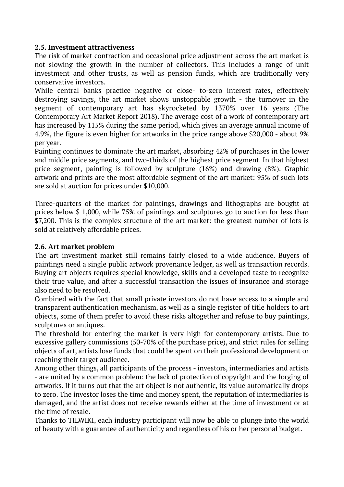#### **2.5. Investment attractiveness**

The risk of market contraction and occasional price adjustment across the art market is not slowing the growth in the number of collectors. This includes a range of unit investment and other trusts, as well as pension funds, which are traditionally very conservative investors.

While central banks practice negative or close- to-zero interest rates, effectively destroying savings, the art market shows unstoppable growth - the turnover in the segment of contemporary art has skyrocketed by 1370% over 16 years (The Contemporary Art Market Report 2018). The average cost of a work of contemporary art has increased by 115% during the same period, which gives an average annual income of 4.9%, the figure is even higher for artworks in the price range above \$20,000 - about 9% per year.

Painting continues to dominate the art market, absorbing 42% of purchases in the lower and middle price segments, and two-thirds of the highest price segment. In that highest price segment, painting is followed by sculpture (16%) and drawing (8%). Graphic artwork and prints are the most affordable segment of the art market: 95% of such lots are sold at auction for prices under \$10,000.

Three-quarters of the market for paintings, drawings and lithographs are bought at prices below \$ 1,000, while 75% of paintings and sculptures go to auction for less than \$7,200. This is the complex structure of the art market: the greatest number of lots is sold at relatively affordable prices.

#### **2.6. Art market problem**

The art investment market still remains fairly closed to a wide audience. Buyers of paintings need a single public artwork provenance ledger, as well as transaction records. Buying art objects requires special knowledge, skills and a developed taste to recognize their true value, and after a successful transaction the issues of insurance and storage also need to be resolved.

Combined with the fact that small private investors do not have access to a simple and transparent authentication mechanism, as well as a single register of title holders to art objects, some of them prefer to avoid these risks altogether and refuse to buy paintings, sculptures or antiques.

The threshold for entering the market is very high for contemporary artists. Due to excessive gallery commissions (50-70% of the purchase price), and strict rules for selling objects of art, artists lose funds that could be spent on their professional development or reaching their target audience.

Among other things, all participants of the process - investors, intermediaries and artists - are united by a common problem: the lack of protection of copyright and the forging of artworks. If it turns out that the art object is not authentic, its value automatically drops to zero. The investor loses the time and money spent, the reputation of intermediaries is damaged, and the artist does not receive rewards either at the time of investment or at the time of resale.

Thanks to TILWIKI, each industry participant will now be able to plunge into the world of beauty with a guarantee of authenticity and regardless of his or her personal budget.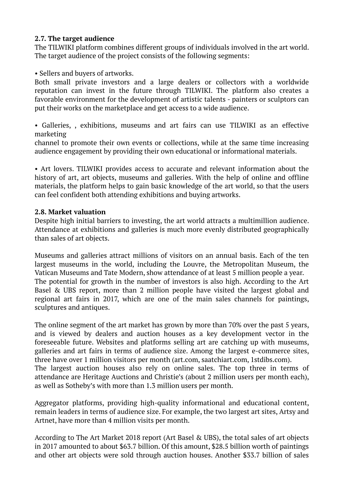#### **2.7. The target audience**

The TILWIKI platform combines different groups of individuals involved in the art world. The target audience of the project consists of the following segments:

• Sellers and buyers of artworks.

Both small private investors and a large dealers or collectors with a worldwide reputation can invest in the future through TILWIKI. The platform also creates a favorable environment for the development of artistic talents - painters or sculptors can put their works on the marketplace and get access to a wide audience.

• Galleries, , exhibitions, museums and art fairs can use TILWIKI as an effective marketing

channel to promote their own events or collections, while at the same time increasing audience engagement by providing their own educational or informational materials.

• Art lovers. TILWIKI provides access to accurate and relevant information about the history of art, art objects, museums and galleries. With the help of online and offline materials, the platform helps to gain basic knowledge of the art world, so that the users can feel confident both attending exhibitions and buying artworks.

#### **2.8. Market valuation**

Despite high initial barriers to investing, the art world attracts a multimillion audience. Attendance at exhibitions and galleries is much more evenly distributed geographically than sales of art objects.

Museums and galleries attract millions of visitors on an annual basis. Each of the ten largest museums in the world, including the Louvre, the Metropolitan Museum, the Vatican Museums and Tate Modern, show attendance of at least 5 million people a year. The potential for growth in the number of investors is also high. According to the Art Basel & UBS report, more than 2 million people have visited the largest global and regional art fairs in 2017, which are one of the main sales channels for paintings, sculptures and antiques.

The online segment of the art market has grown by more than 70% over the past 5 years, and is viewed by dealers and auction houses as a key development vector in the foreseeable future. Websites and platforms selling art are catching up with museums, galleries and art fairs in terms of audience size. Among the largest e-commerce sites, three have over 1 million visitors per month (art.com, saatchiart.com, 1stdibs.com). The largest auction houses also rely on online sales. The top three in terms of attendance are Heritage Auctions and Christie's (about 2 million users per month each), as well as Sotheby's with more than 1.3 million users per month.

Aggregator platforms, providing high-quality informational and educational content, remain leaders in terms of audience size. For example, the two largest art sites, Artsy and Artnet, have more than 4 million visits per month.

According to The Art Market 2018 report (Art Basel & UBS), the total sales of art objects in 2017 amounted to about \$63.7 billion. Of this amount, \$28.5 billion worth of paintings and other art objects were sold through auction houses. Another \$33.7 billion of sales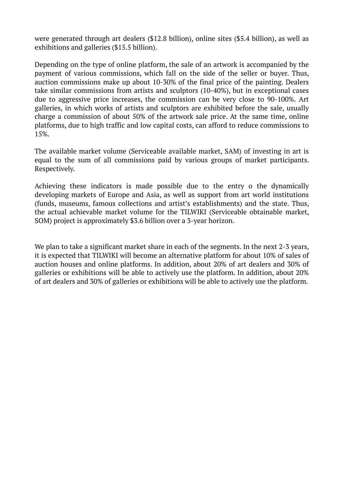were generated through art dealers (\$12.8 billion), online sites (\$5.4 billion), as well as exhibitions and galleries (\$15.5 billion).

Depending on the type of online platform, the sale of an artwork is accompanied by the payment of various commissions, which fall on the side of the seller or buyer. Thus, auction commissions make up about 10-30% of the final price of the painting. Dealers take similar commissions from artists and sculptors (10-40%), but in exceptional cases due to aggressive price increases, the commission can be very close to 90-100%. Art galleries, in which works of artists and sculptors are exhibited before the sale, usually charge a commission of about 50% of the artwork sale price. At the same time, online platforms, due to high traffic and low capital costs, can afford to reduce commissions to 15%.

The available market volume (Serviceable available market, SAM) of investing in art is equal to the sum of all commissions paid by various groups of market participants. Respectively.

Achieving these indicators is made possible due to the entry o the dynamically developing markets of Europe and Asia, as well as support from art world institutions (funds, museums, famous collections and artist's establishments) and the state. Thus, the actual achievable market volume for the TILWIKI (Serviceable obtainable market, SOM) project is approximately \$3.6 billion over a 3-year horizon.

We plan to take a significant market share in each of the segments. In the next 2-3 years, it is expected that TILWIKI will become an alternative platform for about 10% of sales of auction houses and online platforms. In addition, about 20% of art dealers and 30% of galleries or exhibitions will be able to actively use the platform. In addition, about 20% of art dealers and 30% of galleries or exhibitions will be able to actively use the platform.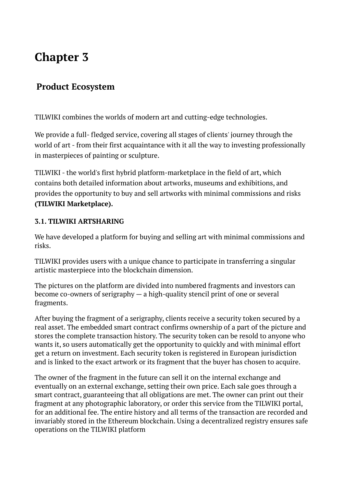### **Product Ecosystem**

TILWIKI combines the worlds of modern art and cutting-edge technologies.

We provide a full- fledged service, covering all stages of clients' journey through the world of art - from their first acquaintance with it all the way to investing professionally in masterpieces of painting or sculpture.

TILWIKI - the world's first hybrid platform-marketplace in the field of art, which contains both detailed information about artworks, museums and exhibitions, and provides the opportunity to buy and sell artworks with minimal commissions and risks **(TILWIKI Marketplace).** 

#### **3.1. TILWIKI ARTSHARING**

We have developed a platform for buying and selling art with minimal commissions and risks.

TILWIKI provides users with a unique chance to participate in transferring a singular artistic masterpiece into the blockchain dimension.

The pictures on the platform are divided into numbered fragments and investors can become co-owners of serigraphy — a high-quality stencil print of one or several fragments.

After buying the fragment of a serigraphy, clients receive a security token secured by a real asset. The embedded smart contract confirms ownership of a part of the picture and stores the complete transaction history. The security token can be resold to anyone who wants it, so users automatically get the opportunity to quickly and with minimal effort get a return on investment. Each security token is registered in European jurisdiction and is linked to the exact artwork or its fragment that the buyer has chosen to acquire.

The owner of the fragment in the future can sell it on the internal exchange and eventually on an external exchange, setting their own price. Each sale goes through a smart contract, guaranteeing that all obligations are met. The owner can print out their fragment at any photographic laboratory, or order this service from the TILWIKI portal, for an additional fee. The entire history and all terms of the transaction are recorded and invariably stored in the Ethereum blockchain. Using a decentralized registry ensures safe operations on the TILWIKI platform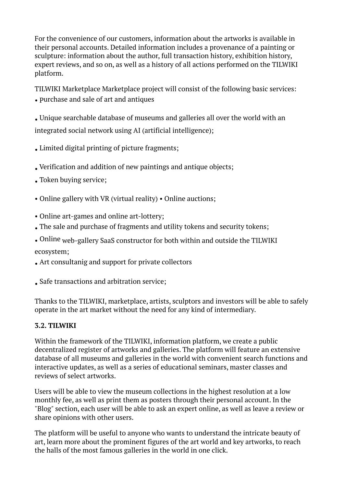For the convenience of our customers, information about the artworks is available in their personal accounts. Detailed information includes a provenance of a painting or sculpture: information about the author, full transaction history, exhibition history, expert reviews, and so on, as well as a history of all actions performed on the TILWIKI platform.

TILWIKI Marketplace Marketplace project will consist of the following basic services: • Purchase and sale of art and antiques

• Unique searchable database of museums and galleries all over the world with an integrated social network using AI (artificial intelligence);

• Limited digital printing of picture fragments;

- Verification and addition of new paintings and antique objects;
- Token buying service;
- Online gallery with VR (virtual reality) Online auctions;
- Online art-games and online art-lottery;
- The sale and purchase of fragments and utility tokens and security tokens;
- Online web-gallery SaaS constructor for both within and outside the TILWIKI ecosystem;
- Art consultanig and support for private collectors

• Safe transactions and arbitration service;

Thanks to the TILWIKI, marketplace, artists, sculptors and investors will be able to safely operate in the art market without the need for any kind of intermediary.

#### **3.2. TILWIKI**

Within the framework of the TILWIKI, information platform, we create a public decentralized register of artworks and galleries. The platform will feature an extensive database of all museums and galleries in the world with convenient search functions and interactive updates, as well as a series of educational seminars, master classes and reviews of select artworks.

Users will be able to view the museum collections in the highest resolution at a low monthly fee, as well as print them as posters through their personal account. In the "Blog" section, each user will be able to ask an expert online, as well as leave a review or share opinions with other users.

The platform will be useful to anyone who wants to understand the intricate beauty of art, learn more about the prominent figures of the art world and key artworks, to reach the halls of the most famous galleries in the world in one click.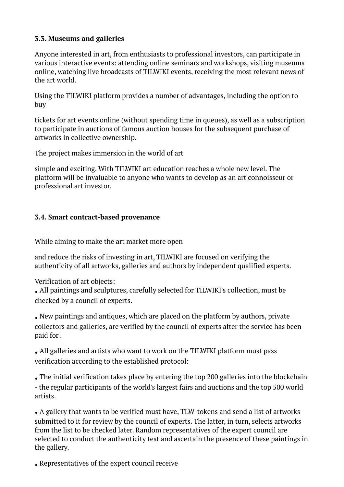#### **3.3. Museums and galleries**

Anyone interested in art, from enthusiasts to professional investors, can participate in various interactive events: attending online seminars and workshops, visiting museums online, watching live broadcasts of TILWIKI events, receiving the most relevant news of the art world.

Using the TILWIKI platform provides a number of advantages, including the option to buy

tickets for art events online (without spending time in queues), as well as a subscription to participate in auctions of famous auction houses for the subsequent purchase of artworks in collective ownership.

The project makes immersion in the world of art

simple and exciting. With TILWIKI art education reaches a whole new level. The platform will be invaluable to anyone who wants to develop as an art connoisseur or professional art investor.

#### **3.4. Smart contract-based provenance**

While aiming to make the art market more open

and reduce the risks of investing in art, TILWIKI are focused on verifying the authenticity of all artworks, galleries and authors by independent qualified experts.

Verification of art objects:

• All paintings and sculptures, carefully selected for TILWIKI's collection, must be checked by a council of experts.

• New paintings and antiques, which are placed on the platform by authors, private collectors and galleries, are verified by the council of experts after the service has been paid for .

• All galleries and artists who want to work on the TILWIKI platform must pass verification according to the established protocol:

• The initial verification takes place by entering the top 200 galleries into the blockchain - the regular participants of the world's largest fairs and auctions and the top 500 world artists.

• A gallery that wants to be verified must have, TLW-tokens and send a list of artworks submitted to it for review by the council of experts. The latter, in turn, selects artworks from the list to be checked later. Random representatives of the expert council are selected to conduct the authenticity test and ascertain the presence of these paintings in the gallery.

• Representatives of the expert council receive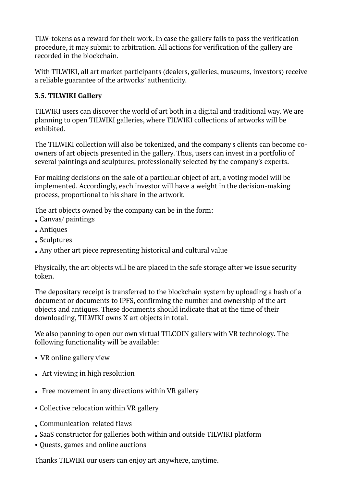TLW-tokens as a reward for their work. In case the gallery fails to pass the verification procedure, it may submit to arbitration. All actions for verification of the gallery are recorded in the blockchain.

With TILWIKI, all art market participants (dealers, galleries, museums, investors) receive a reliable guarantee of the artworks' authenticity.

#### **3.5. TILWIKI Gallery**

TILWIKI users can discover the world of art both in a digital and traditional way. We are planning to open TILWIKI galleries, where TILWIKI collections of artworks will be exhibited.

The TILWIKI collection will also be tokenized, and the company's clients can become coowners of art objects presented in the gallery. Thus, users can invest in a portfolio of several paintings and sculptures, professionally selected by the company's experts.

For making decisions on the sale of a particular object of art, a voting model will be implemented. Accordingly, each investor will have a weight in the decision-making process, proportional to his share in the artwork.

The art objects owned by the company can be in the form:

- Canvas/ paintings
- Antiques
- Sculptures
- Any other art piece representing historical and cultural value

Physically, the art objects will be are placed in the safe storage after we issue security token.

The depositary receipt is transferred to the blockchain system by uploading a hash of a document or documents to IPFS, confirming the number and ownership of the art objects and antiques. These documents should indicate that at the time of their downloading, TILWIKI owns X art objects in total.

We also panning to open our own virtual TILCOIN gallery with VR technology. The following functionality will be available:

- VR online gallery view
- Art viewing in high resolution
- Free movement in any directions within VR gallery
- Collective relocation within VR gallery
- Сommunication-related flaws
- SaaS constructor for galleries both within and outside TILWIKI platform
- Quests, games and online auctions

Thanks TILWIKI our users can enjoy art anywhere, anytime.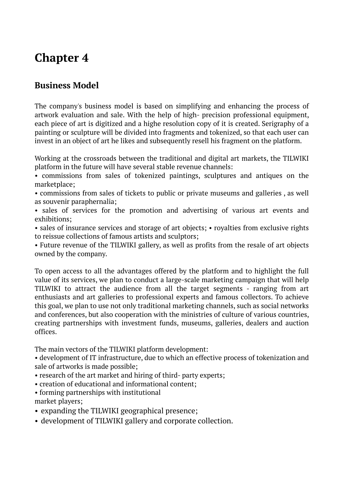### **Business Model**

The company's business model is based on simplifying and enhancing the process of artwork evaluation and sale. With the help of high- precision professional equipment, each piece of art is digitized and a highe resolution copy of it is created. Serigraphy of a painting or sculpture will be divided into fragments and tokenized, so that each user can invest in an object of art he likes and subsequently resell his fragment on the platform.

Working at the crossroads between the traditional and digital art markets, the TILWIKI platform in the future will have several stable revenue channels:

• commissions from sales of tokenized paintings, sculptures and antiques on the marketplace;

• commissions from sales of tickets to public or private museums and galleries , as well as souvenir paraphernalia;

• sales of services for the promotion and advertising of various art events and exhibitions;

• sales of insurance services and storage of art objects; • royalties from exclusive rights to reissue collections of famous artists and sculptors;

• Future revenue of the TILWIKI gallery, as well as profits from the resale of art objects owned by the company.

To open access to all the advantages offered by the platform and to highlight the full value of its services, we plan to conduct a large-scale marketing campaign that will help TILWIKI to attract the audience from all the target segments - ranging from art enthusiasts and art galleries to professional experts and famous collectors. To achieve this goal, we plan to use not only traditional marketing channels, such as social networks and conferences, but also cooperation with the ministries of culture of various countries, creating partnerships with investment funds, museums, galleries, dealers and auction offices.

The main vectors of the TILWIKI platform development:

• development of IT infrastructure, due to which an effective process of tokenization and sale of artworks is made possible;

- research of the art market and hiring of third- party experts;
- creation of educational and informational content;
- forming partnerships with institutional market players;
- expanding the TILWIKI geographical presence;
- development of TILWIKI gallery and corporate collection.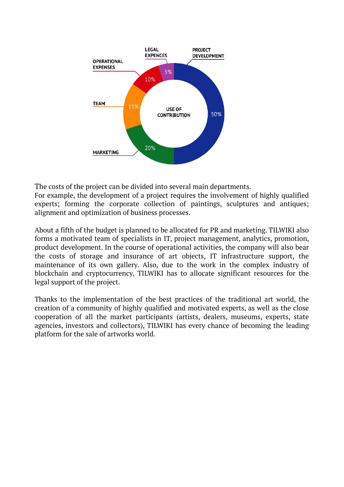

The costs of the project can be divided into several main departments.

For example, the development of a project requires the involvement of highly qualified experts; forming the corporate collection of paintings, sculptures and antiques; alignment and optimization of business processes.

About a fifth of the budget is planned to be allocated for PR and marketing. TILWIKI also forms a motivated team of specialists in IT, project management, analytics, promotion, product development. In the course of operational activities, the company will also bear the costs of storage and insurance of art objects, IT infrastructure support, the maintenance of its own gallery. Also, due to the work in the complex industry of blockchain and cryptocurrency, TILWIKI has to allocate significant resources for the legal support of the project.

Thanks to the implementation of the best practices of the traditional art world, the creation of a community of highly qualified and motivated experts, as well as the close cooperation of all the market participants (artists, dealers, museums, experts, state agencies, investors and collectors), TILWIKI has every chance of becoming the leading platform for the sale of artworks world.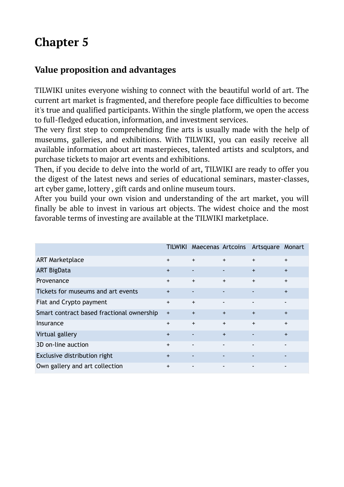### **Value proposition and advantages**

TILWIKI unites everyone wishing to connect with the beautiful world of art. The current art market is fragmented, and therefore people face difficulties to become it's true and qualified participants. Within the single platform, we open the access to full-fledged education, information, and investment services.

The very first step to comprehending fine arts is usually made with the help of museums, galleries, and exhibitions. With TILWIKI, you can easily receive all available information about art masterpieces, talented artists and sculptors, and purchase tickets to major art events and exhibitions.

Then, if you decide to delve into the world of art, TILWIKI are ready to offer you the digest of the latest news and series of educational seminars, master-classes, art cyber game, lottery , gift cards and online museum tours.

After you build your own vision and understanding of the art market, you will finally be able to invest in various art objects. The widest choice and the most favorable terms of investing are available at the TILWIKI marketplace.

|                                           | <b>TILWIKI</b> |     |                          | Maecenas Artcoins Artsquare Monart |           |
|-------------------------------------------|----------------|-----|--------------------------|------------------------------------|-----------|
| <b>ART Marketplace</b>                    | $\ddot{}$      | $+$ | $+$                      | $+$                                | $+$       |
| <b>ART BigData</b>                        | $\ddot{}$      | ٠   | $\overline{\phantom{a}}$ | $+$                                | $+$       |
| Provenance                                | $+$            | $+$ | $+$                      | $+$                                | $+$       |
| Tickets for museums and art events        | $\ddot{}$      |     | ٠                        |                                    | $+$       |
| Fiat and Crypto payment                   | $\ddot{}$      | $+$ | $\blacksquare$           | $\blacksquare$                     | ٠         |
| Smart contract based fractional ownership | $\ddot{}$      | $+$ | $+$                      | $+$                                | $+$       |
| Insurance                                 | $\ddot{}$      | $+$ | $+$                      | $\ddot{}$                          | $\ddot{}$ |
| Virtual gallery                           | $\ddot{}$      |     | $+$                      |                                    | $+$       |
| 3D on-line auction                        | $\ddot{}$      |     |                          |                                    |           |
| Exclusive distribution right              | $\ddot{}$      |     |                          |                                    |           |
| Own gallery and art collection            | $\ddot{}$      |     | $\overline{\phantom{a}}$ |                                    | ٠         |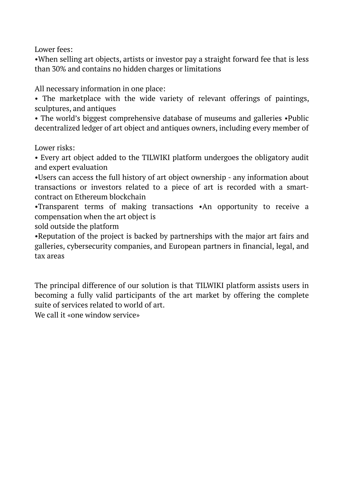Lower fees:

•When selling art objects, artists or investor pay a straight forward fee that is less than 30% and contains no hidden charges or limitations

All necessary information in one place:

• The marketplace with the wide variety of relevant offerings of paintings, sculptures, and antiques

• The world's biggest comprehensive database of museums and galleries •Public decentralized ledger of art object and antiques owners, including every member of

Lower risks:

• Every art object added to the TILWIKI platform undergoes the obligatory audit and expert evaluation

•Users can access the full history of art object ownership - any information about transactions or investors related to a piece of art is recorded with a smartcontract on Ethereum blockchain

•Transparent terms of making transactions •An opportunity to receive a compensation when the art object is

sold outside the platform

•Reputation of the project is backed by partnerships with the major art fairs and galleries, cybersecurity companies, and European partners in financial, legal, and tax areas

The principal difference of our solution is that TILWIKI platform assists users in becoming a fully valid participants of the art market by offering the complete suite of services related to world of art.

We call it «one window service»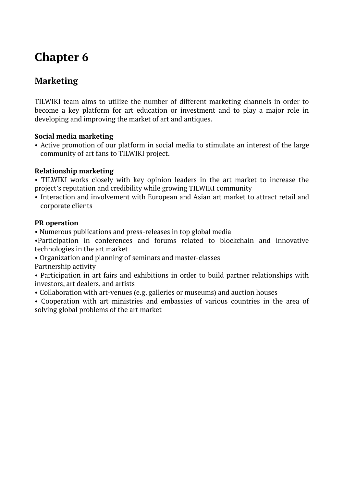## **Marketing**

TILWIKI team aims to utilize the number of different marketing channels in order to become a key platform for art education or investment and to play a major role in developing and improving the market of art and antiques.

#### **Social media marketing**

• Active promotion of our platform in social media to stimulate an interest of the large community of art fans to TILWIKI project.

#### **Relationship marketing**

• TILWIKI works closely with key opinion leaders in the art market to increase the project's reputation and credibility while growing TILWIKI community

• Interaction and involvement with European and Asian art market to attract retail and corporate clients

#### **PR operation**

• Numerous publications and press-releases in top global media

•Participation in conferences and forums related to blockchain and innovative technologies in the art market

- Organization and planning of seminars and master-classes Partnership activity
- Participation in art fairs and exhibitions in order to build partner relationships with investors, art dealers, and artists
- Collaboration with art-venues (e.g. galleries or museums) and auction houses
- Cooperation with art ministries and embassies of various countries in the area of solving global problems of the art market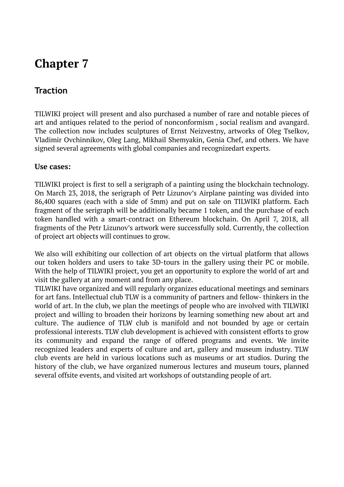### **Traction**

TILWIKI project will present and also purchased a number of rare and notable pieces of art and antiques related to the period of nonconformism , social realism and avangard. The collection now includes sculptures of Ernst Neizvestny, artworks of Oleg Tselkov, Vladimir Ovchinnikov, Oleg Lang, Mikhail Shemyakin, Genia Chef, and others. We have signed several agreements with global companies and recognizedart experts.

#### **Use cases:**

TILWIKI project is first to sell a serigraph of a painting using the blockchain technology. On March 23, 2018, the serigraph of Petr Lizunov's Airplane painting was divided into 86,400 squares (each with a side of 5mm) and put on sale on TILWIKI platform. Each fragment of the serigraph will be additionally became 1 token, and the purchase of each token handled with a smart-contract on Ethereum blockchain. On April 7, 2018, all fragments of the Petr Lizunov's artwork were successfully sold. Currently, the collection of project art objects will continues to grow.

We also will exhibiting our collection of art objects on the virtual platform that allows our token holders and users to take 3D-tours in the gallery using their PC or mobile. With the help of TILWIKI project, you get an opportunity to explore the world of art and visit the gallery at any moment and from any place.

TILWIKI have organized and will regularly organizes educational meetings and seminars for art fans. Intellectual club TLW is a community of partners and fellow- thinkers in the world of art. In the club, we plan the meetings of people who are involved with TILWIKI project and willing to broaden their horizons by learning something new about art and culture. The audience of TLW club is manifold and not bounded by age or certain professional interests. TLW club development is achieved with consistent efforts to grow its community and expand the range of offered programs and events. We invite recognized leaders and experts of culture and art, gallery and museum industry. TLW club events are held in various locations such as museums or art studios. During the history of the club, we have organized numerous lectures and museum tours, planned several offsite events, and visited art workshops of outstanding people of art.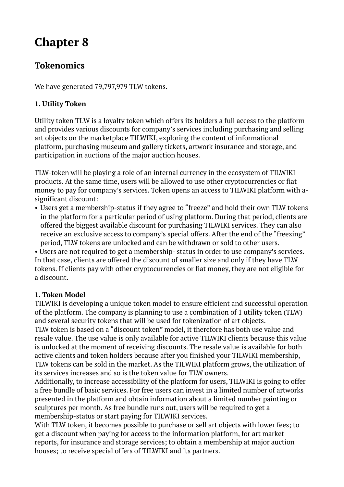### **Tokenomics**

We have generated 79,797,979 TLW tokens.

#### **1. Utility Token**

Utility token TLW is a loyalty token which offers its holders a full access to the platform and provides various discounts for company's services including purchasing and selling art objects on the marketplace TILWIKI, exploring the content of informational platform, purchasing museum and gallery tickets, artwork insurance and storage, and participation in auctions of the major auction houses.

TLW-token will be playing a role of an internal currency in the ecosystem of TILWIKI products. At the same time, users will be allowed to use other cryptocurrencies or fiat money to pay for company's services. Token opens an access to TILWIKI platform with asignificant discount:

• Users get a membership-status if they agree to "freeze" and hold their own TLW tokens in the platform for a particular period of using platform. During that period, clients are offered the biggest available discount for purchasing TILWIKI services. They can also receive an exclusive access to company's special offers. After the end of the "freezing" period, TLW tokens are unlocked and can be withdrawn or sold to other users.

• Users are not required to get a membership- status in order to use company's services. In that case, clients are offered the discount of smaller size and only if they have TLW tokens. If clients pay with other cryptocurrencies or fiat money, they are not eligible for a discount.

#### **1. Token Model**

TILWIKI is developing a unique token model to ensure efficient and successful operation of the platform. The company is planning to use a combination of 1 utility token (TLW) and several security tokens that will be used for tokenization of art objects.

TLW token is based on a "discount token" model, it therefore has both use value and resale value. The use value is only available for active TILWIKI clients because this value is unlocked at the moment of receiving discounts. The resale value is available for both active clients and token holders because after you finished your TILWIKI membership, TLW tokens can be sold in the market. As the TILWIKI platform grows, the utilization of its services increases and so is the token value for TLW owners.

Additionally, to increase accessibility of the platform for users, TILWIKI is going to offer a free bundle of basic services. For free users can invest in a limited number of artworks presented in the platform and obtain information about a limited number painting or sculptures per month. As free bundle runs out, users will be required to get a membership-status or start paying for TILWIKI services.

With TLW token, it becomes possible to purchase or sell art objects with lower fees; to get a discount when paying for access to the information platform, for art market reports, for insurance and storage services; to obtain a membership at major auction houses; to receive special offers of TILWIKI and its partners.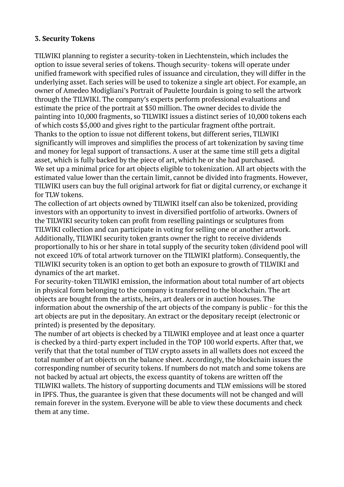#### **3. Security Tokens**

TILWIKI planning to register a security-token in Liechtenstein, which includes the option to issue several series of tokens. Though security- tokens will operate under unified framework with specified rules of issuance and circulation, they will differ in the underlying asset. Each series will be used to tokenize a single art object. For example, an owner of Amedeo Modigliani's Portrait of Paulette Jourdain is going to sell the artwork through the TILWIKI. The company's experts perform professional evaluations and estimate the price of the portrait at \$50 million. The owner decides to divide the painting into 10,000 fragments, so TILWIKI issues a distinct series of 10,000 tokens each of which costs \$5,000 and gives right to the particular fragment ofthe portrait. Thanks to the option to issue not different tokens, but different series, TILWIKI significantly will improves and simplifies the process of art tokenization by saving time and money for legal support of transactions. A user at the same time still gets a digital asset, which is fully backed by the piece of art, which he or she had purchased. We set up a minimal price for art objects eligible to tokenization. All art objects with the estimated value lower than the certain limit, cannot be divided into fragments. However, TILWIKI users can buy the full original artwork for fiat or digital currency, or exchange it for TLW tokens.

The collection of art objects owned by TILWIKI itself can also be tokenized, providing investors with an opportunity to invest in diversified portfolio of artworks. Owners of the TILWIKI security token can profit from reselling paintings or sculptures from TILWIKI collection and can participate in voting for selling one or another artwork. Additionally, TILWIKI security token grants owner the right to receive dividends proportionally to his or her share in total supply of the security token (dividend pool will not exceed 10% of total artwork turnover on the TILWIKI platform). Consequently, the TILWIKI security token is an option to get both an exposure to growth of TILWIKI and dynamics of the art market.

For security-token TILWIKI emission, the information about total number of art objects in physical form belonging to the company is transferred to the blockchain. The art objects are bought from the artists, heirs, art dealers or in auction houses. The information about the ownership of the art objects of the company is public - for this the art objects are put in the depositary. An extract or the depositary receipt (electronic or printed) is presented by the depositary.

The number of art objects is checked by a TILWIKI employee and at least once a quarter is checked by a third-party expert included in the TOP 100 world experts. After that, we verify that that the total number of TLW crypto assets in all wallets does not exceed the total number of art objects on the balance sheet. Accordingly, the blockchain issues the corresponding number of security tokens. If numbers do not match and some tokens are not backed by actual art objects, the excess quantity of tokens are written off the TILWIKI wallets. The history of supporting documents and TLW emissions will be stored in IPFS. Thus, the guarantee is given that these documents will not be changed and will remain forever in the system. Everyone will be able to view these documents and check them at any time.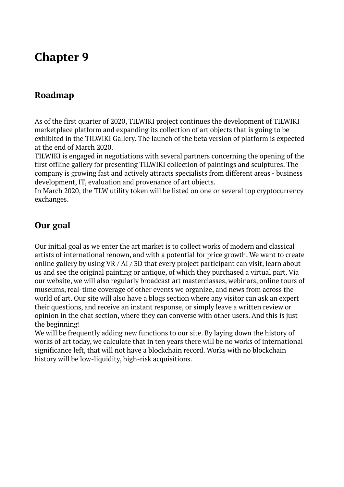### **Roadmap**

As of the first quarter of 2020, TILWIKI project continues the development of TILWIKI marketplace platform and expanding its collection of art objects that is going to be exhibited in the TILWIKI Gallery. The launch of the beta version of platform is expected at the end of March 2020.

TILWIKI is engaged in negotiations with several partners concerning the opening of the first offline gallery for presenting TILWIKI collection of paintings and sculptures. The company is growing fast and actively attracts specialists from different areas - business development, IT, evaluation and provenance of art objects.

In March 2020, the TLW utility token will be listed on one or several top cryptocurrency exchanges.

### **Our goal**

Our initial goal as we enter the art market is to collect works of modern and classical artists of international renown, and with a potential for price growth. We want to create online gallery by using VR / AI / 3D that every project participant can visit, learn about us and see the original painting or antique, of which they purchased a virtual part. Via our website, we will also regularly broadcast art masterclasses, webinars, online tours of museums, real-time coverage of other events we organize, and news from across the world of art. Our site will also have a blogs section where any visitor can ask an expert their questions, and receive an instant response, or simply leave a written review or opinion in the chat section, where they can converse with other users. And this is just the beginning!

We will be frequently adding new functions to our site. By laying down the history of works of art today, we calculate that in ten years there will be no works of international significance left, that will not have a blockchain record. Works with no blockchain history will be low-liquidity, high-risk acquisitions.